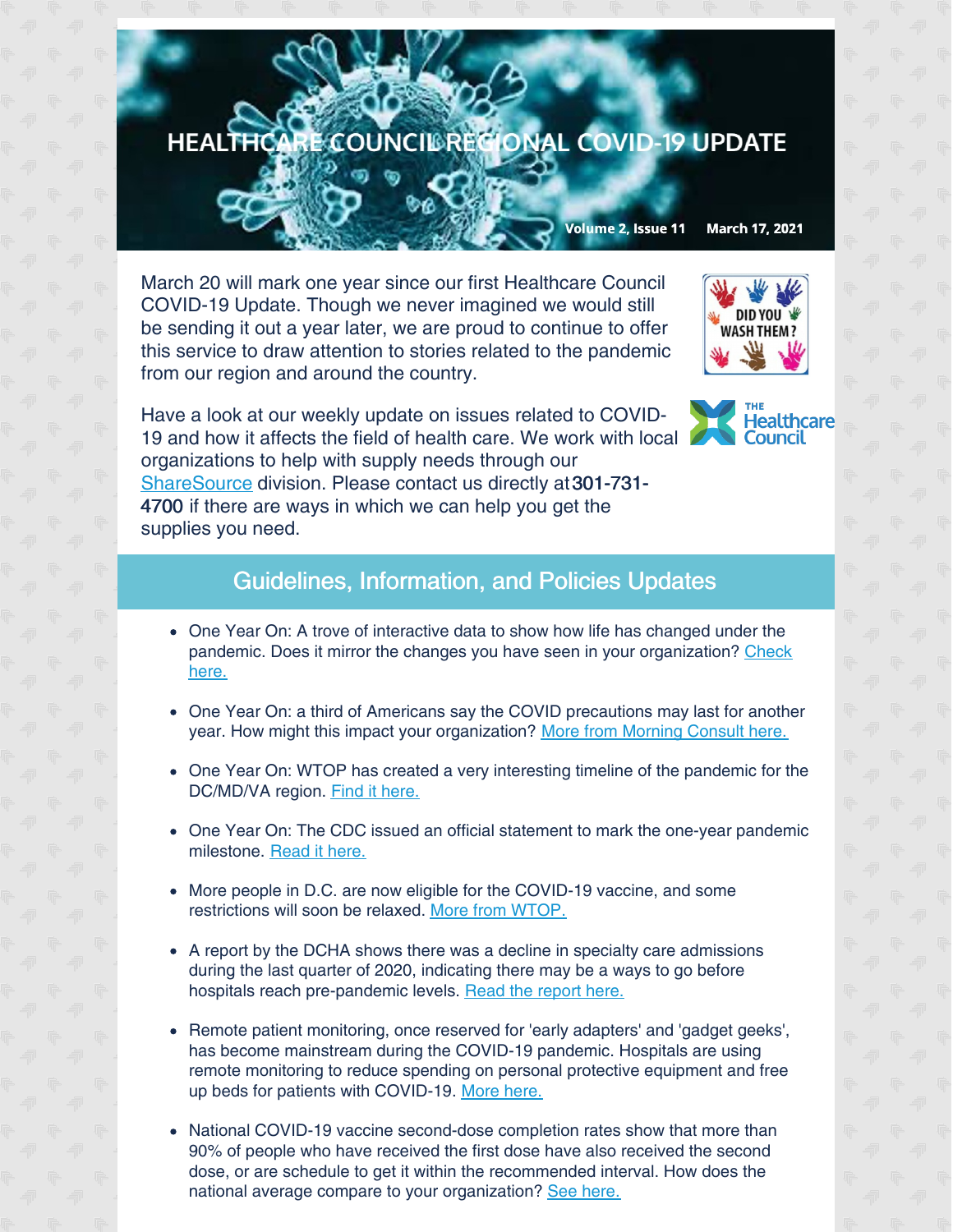## HEALTHCARE COUNCIL RECIONAL COVID-19 UPDATE

Volume 2, Issue 11 March 17, 2021

March 20 will mark one year since our first Healthcare Council COVID-19 Update. Though we never imagined we would still be sending it out a year later, we are proud to continue to offer this service to draw attention to stories related to the pandemic from our region and around the country.



Have a look at our weekly update on issues related to COVID-19 and how it affects the field of health care. We work with local organizations to help with supply needs through our [ShareSource](https://www.share-source.org/) division. Please contact us directly at301-731- 4700 if there are ways in which we can help you get the supplies you need.



## Guidelines, Information, and Policies Updates

- One Year On: A trove of interactive data to show how life has changed under the pandemic. Does it mirror the changes you have seen in your [organization?](https://morningconsult.com/2021/03/09/one-year-out-public-opinion-data-defined-covid-19-pandemic/?mkt_tok=ODUwLVRBQS01MTEAAAF7x6SUfPp5c-9P3_FodjgG9iuWYZh_u-I832d4IcaQzbo_APP2ku-QME-2Chk-7DQLAKyEA2sWbBJgHtIdHH9tZUOBGY9Bb5-WgrF-zqVR83Q) Check here.
- One Year On: a third of Americans say the COVID precautions may last for another year. How might this impact your organization? More from [Morning](https://morningconsult.com/2021/03/10/covid-anniversary-vaccine-rollout-comfort/?mkt_tok=ODUwLVRBQS01MTEAAAF7x6SUe8FSKI1UfIBqZAa3maQMeEvIVsgaa2X7_lv4kNGTO_p3PLCazwmcJ-w52lcnsr9tr4wdxvb9Rb4sdZ6DvVWsd2gJPNths1R8VNVdkdw) Consult here.
- One Year On: WTOP has created a very interesting timeline of the pandemic for the DC/MD/VA region. Find it [here.](https://wtop.com/coronavirus/2021/03/coronavirus-timeline-key-dates-as-the-virus-spread-in-dc-maryland-and-virginia/)
- One Year On: The CDC issued an official statement to mark the one-year pandemic milestone. [Read](https://www.cdc.gov/media/releases/2021/s0311-pandemic-anniversary.html?ACSTrackingID=USCDC_1_3-DM52130&ACSTrackingLabel=CDC Newsroom%3A Week In Review - 03%2F08%2F21&deliveryName=USCDC_1_3-DM52130) it here.
- More people in D.C. are now eligible for the COVID-19 vaccine, and some restrictions will soon be relaxed. More from [WTOP.](https://wtop.com/dc/2021/03/dc-coronavirus-update-march-15/)
- A report by the DCHA shows there was a decline in specialty care admissions during the last quarter of 2020, indicating there may be a ways to go before hospitals reach pre-pandemic levels. Read the [report](https://mcusercontent.com/67e7a773996f97d87b3be7633/files/9f96c89d-5275-41bc-a6cb-67ed395380e5/Utilization_Report_December_2020.pdf) here.
- Remote patient monitoring, once reserved for 'early adapters' and 'gadget geeks', has become mainstream during the COVID-19 pandemic. Hospitals are using remote monitoring to reduce spending on personal protective equipment and free up beds for patients with COVID-19. [More](https://www.managedhealthcareexecutive.com/view/pandemic-opens-minds-loosens-providers-purse-strings-for-remote-patient-monitoring?utm_source=sfmc&utm_medium=email&utm_campaign=03122021_JAZ-21-MHD0242_MHE_eNL_US_Only&eKey=bHBpdHRvbkBoZWFsdGhjYXJlLWNvdW5jaWwub3Jn) here.
- National COVID-19 vaccine second-dose completion rates show that more than 90% of people who have received the first dose have also received the second dose, or are schedule to get it within the recommended interval. How does the national average compare to your organization? See [here.](https://www.cdc.gov/mmwr/volumes/70/wr/mm7011e2.htm?s_cid=mm7011e2_e&ACSTrackingID=USCDC_921-DM51989&ACSTrackingLabel=MMWR Early Release - Vol. 70%2C March 15%2C 2021&deliveryName=USCDC_921-DM51989)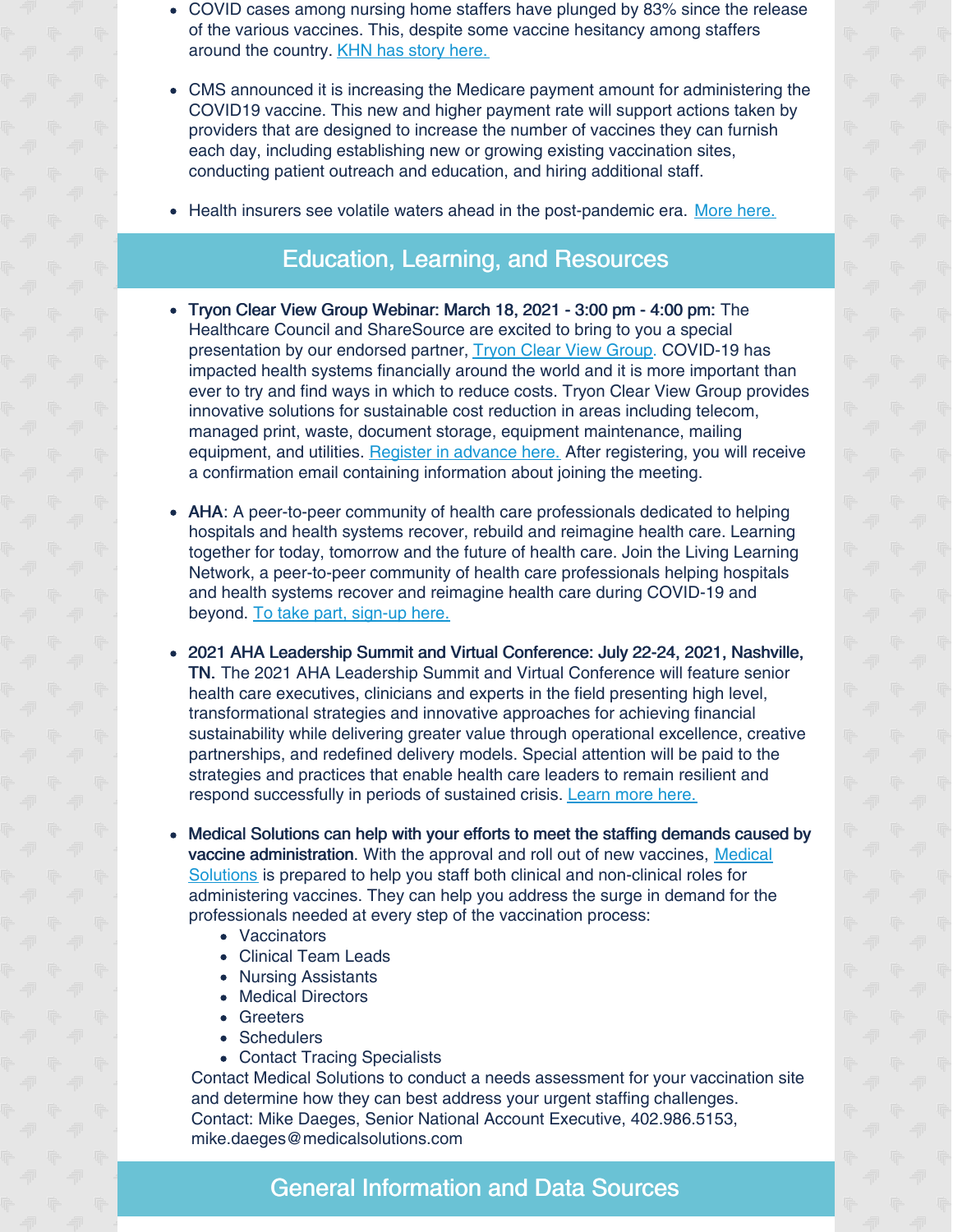- COVID cases among nursing home staffers have plunged by 83% since the release of the various vaccines. This, despite some vaccine hesitancy among staffers around the country. KHN has story [here.](https://khn.org/news/article/covid-cases-plummet-among-nursing-home-staffers-despite-vaccine-hesitancy/?mkt_tok=ODUwLVRBQS01MTEAAAF71M4Y9_fYFzgQbnSnRYUON8IKahApWnFbCWYfuLfHcvqlWJhYm1_hxdvSuOiphYI-CUIlb4AofhR5dC4e2DlaDF6nAfg1xShwuuYPLwPgkCFE)
- CMS announced it is increasing the Medicare payment amount for administering the COVID19 vaccine. This new and higher payment rate will support actions taken by providers that are designed to increase the number of vaccines they can furnish each day, including establishing new or growing existing vaccination sites, conducting patient outreach and education, and hiring additional staff.
- Health insurers see volatile waters ahead in the post-pandemic era. [More](https://www.managedhealthcareexecutive.com/view/the-pandemic-one-year-in-despite-large-profits-in-2020-health-insurers-see-volatility-ahead?utm_source=sfmc&utm_medium=email&utm_campaign=03122021_JAZ-21-MHD0242_MHE_eNL_US_Only&eKey=bHBpdHRvbkBoZWFsdGhjYXJlLWNvdW5jaWwub3Jn) here.

## Education, Learning, and Resources

- Tryon Clear View Group Webinar: March 18, 2021 3:00 pm 4:00 pm: The Healthcare Council and ShareSource are excited to bring to you a special presentation by our endorsed partner, Tryon Clear View [Group](https://www.oneclearview.com/). COVID-19 has impacted health systems financially around the world and it is more important than ever to try and find ways in which to reduce costs. Tryon Clear View Group provides innovative solutions for sustainable cost reduction in areas including telecom, managed print, waste, document storage, equipment maintenance, mailing equipment, and utilities. Register in [advance](https://us02web.zoom.us/meeting/register/tZUldu-tqDgvHNfulalapfUQwJkfc4pFdjED) here. After registering, you will receive a confirmation email containing information about joining the meeting.
- AHA: A peer-to-peer community of health care professionals dedicated to helping hospitals and health systems recover, rebuild and reimagine health care. Learning together for today, tomorrow and the future of health care. Join the Living Learning Network, a peer-to-peer community of health care professionals helping hospitals and health systems recover and reimagine health care during COVID-19 and beyond. To take part, [sign-up](https://www.aha.org/center/living-learning-network) here.
- 2021 AHA Leadership Summit and Virtual Conference: July 22-24, 2021, Nashville, TN. The 2021 AHA Leadership Summit and Virtual Conference will feature senior health care executives, clinicians and experts in the field presenting high level, transformational strategies and innovative approaches for achieving financial sustainability while delivering greater value through operational excellence, creative partnerships, and redefined delivery models. Special attention will be paid to the strategies and practices that enable health care leaders to remain resilient and respond successfully in periods of sustained crisis. [Learn](https://www.aha.org/education-and-events/leadership-summit) more here.
- Medical Solutions can help with your efforts to meet the staffing demands caused by vaccine [administration.](https://www.medicalsolutions.com/) With the approval and roll out of new vaccines, Medical Solutions is prepared to help you staff both clinical and non-clinical roles for administering vaccines. They can help you address the surge in demand for the professionals needed at every step of the vaccination process:
	- Vaccinators
	- Clinical Team Leads
	- Nursing Assistants
	- Medical Directors
	- Greeters
	- Schedulers
	- Contact Tracing Specialists

Contact Medical Solutions to conduct a needs assessment for your vaccination site and determine how they can best address your urgent staffing challenges. Contact: Mike Daeges, Senior National Account Executive, 402.986.5153, mike.daeges@medicalsolutions.com

## General Information and Data Sources